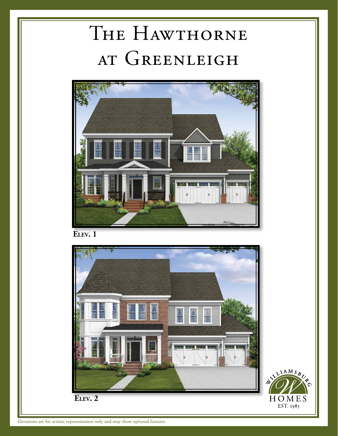## THE HAWTHORNE at Greenleigh



**Elev. 1**



Elevations are for artistic representation only and may show optional features.